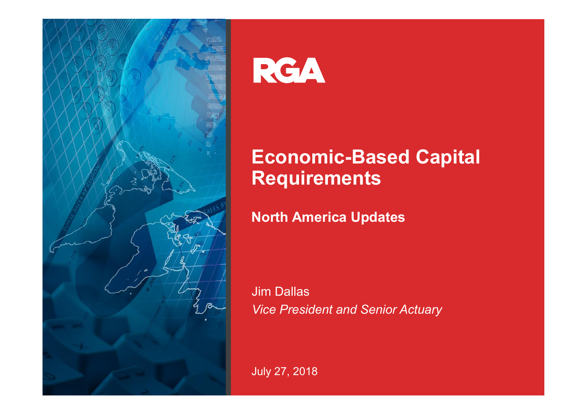

# RGA

#### **Economic-Based Capital Requirements**

**North America Updates**

Jim Dallas *Vice President and Senior Actuary*

July 27, 2018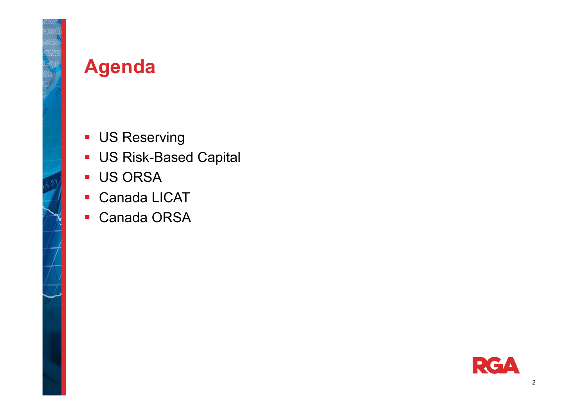

#### **Agenda**

- **US Reserving**
- US Risk-Based Capital
- **US ORSA**
- $\blacksquare$ Canada LICAT
- $\mathbf{r}$ Canada ORSA

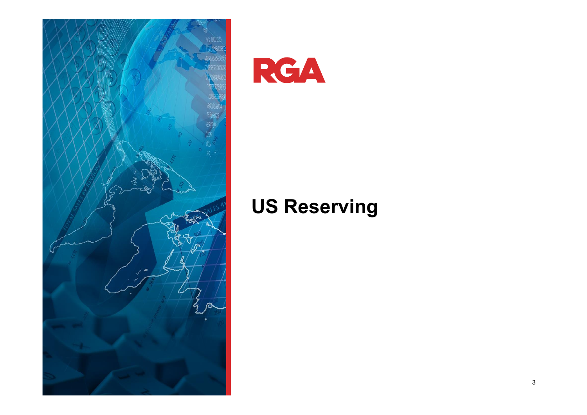

RGA

#### **US Reserving**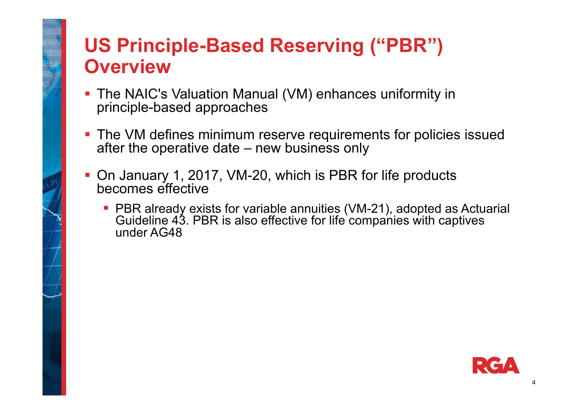# **US Principle-Based Reserving ("PBR") Overview**

- The NAIC's Valuation Manual (VM) enhances uniformity in principle-based approaches
- **The VM defines minimum reserve requirements for policies issued** after the operative date – new business only
- On January 1, 2017, VM-20, which is PBR for life products becomes effective
	- PBR already exists for variable annuities (VM-21), adopted as Actuarial Guideline 43. PBR is also effective for life companies with captives under AG48

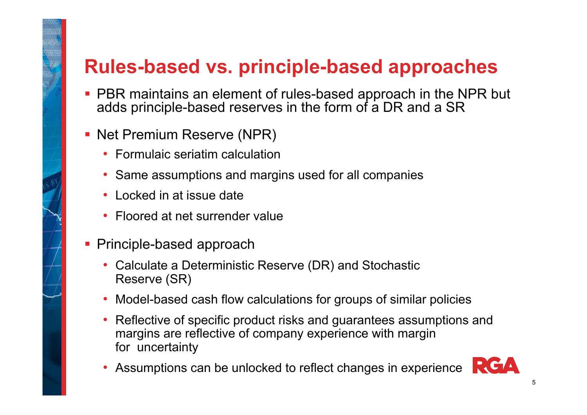## **Rules-based vs. principle-based approaches**

- **PBR maintains an element of rules-based approach in the NPR but** adds principle-based reserves in the form of a DR and a SR
- **Net Premium Reserve (NPR)** 
	- Formulaic seriatim calculation
	- Same assumptions and margins used for all companies
	- Locked in at issue date
	- Floored at net surrender value
- **Principle-based approach** 
	- Calculate a Deterministic Reserve (DR) and Stochastic Reserve (SR)
	- Model-based cash flow calculations for groups of similar policies
	- Reflective of specific product risks and guarantees assumptions and margins are reflective of company experience with margin for uncertainty
	- Assumptions can be unlocked to reflect changes in experience

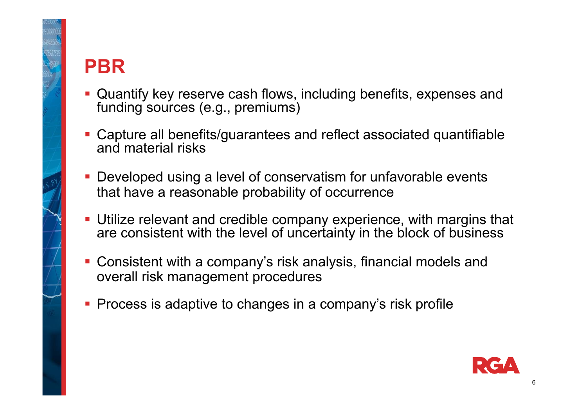

# **PBR**

- Quantify key reserve cash flows, including benefits, expenses and funding sources (e.g., premiums)
- Capture all benefits/guarantees and reflect associated quantifiable and material risks
- **Developed using a level of conservatism for unfavorable events** that have a reasonable probability of occurrence
- Utilize relevant and credible company experience, with margins that are consistent with the level of uncertainty in the block of business
- Consistent with a company's risk analysis, financial models and overall risk management procedures
- **Process is adaptive to changes in a company's risk profile**

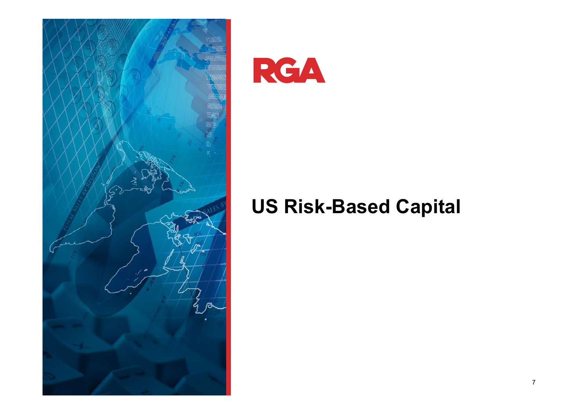

RGA

## **US Risk-Based Capital**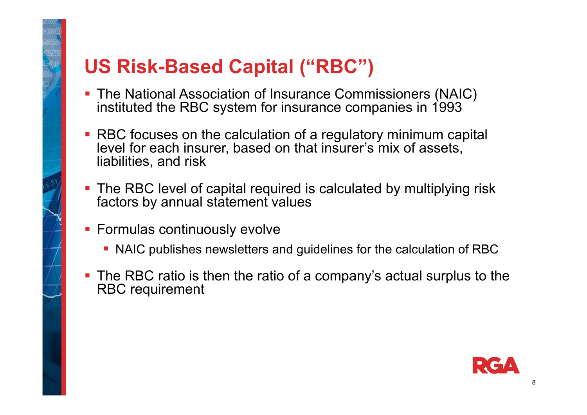# **US Risk-Based Capital ("RBC")**

- The National Association of Insurance Commissioners (NAIC) instituted the RBC system for insurance companies in 1993
- RBC focuses on the calculation of a regulatory minimum capital level for each insurer, based on that insurer's mix of assets, liabilities, and risk
- The RBC level of capital required is calculated by multiplying risk factors by annual statement values
- **Formulas continuously evolve** 
	- NAIC publishes newsletters and guidelines for the calculation of RBC
- **The RBC ratio is then the ratio of a company's actual surplus to the** RBC requirement

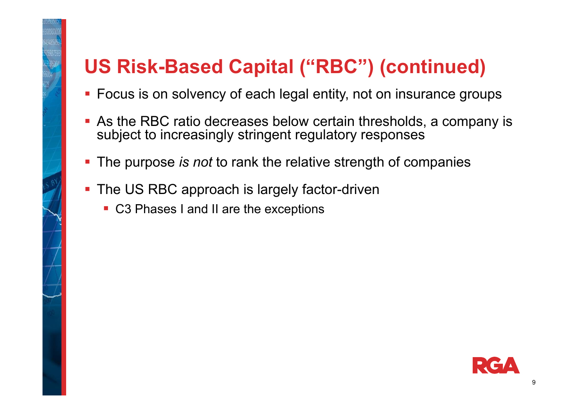# **US Risk-Based Capital ("RBC") (continued)**

- **Focus is on solvency of each legal entity, not on insurance groups**
- As the RBC ratio decreases below certain thresholds, a company is subject to increasingly stringent regulatory responses
- **The purpose** *is not* **to rank the relative strength of companies**
- **The US RBC approach is largely factor-driven** 
	- C3 Phases I and II are the exceptions

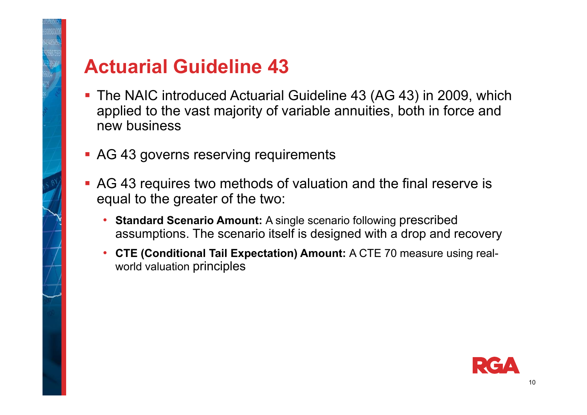

#### **Actuarial Guideline 43**

- The NAIC introduced Actuarial Guideline 43 (AG 43) in 2009, which applied to the vast majority of variable annuities, both in force and new business
- **AG 43 governs reserving requirements**
- AG 43 requires two methods of valuation and the final reserve is equal to the greater of the two:
	- **Standard Scenario Amount:** A single scenario following prescribed assumptions. The scenario itself is designed with a drop and recovery
	- **CTE (Conditional Tail Expectation) Amount:** A CTE 70 measure using realworld valuation principles

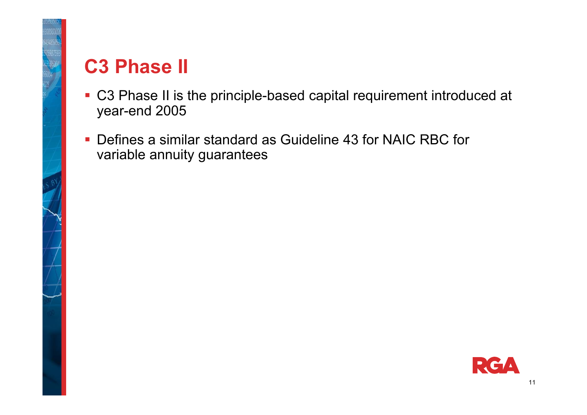

## **C3 Phase II**

- C3 Phase II is the principle-based capital requirement introduced at year-end 2005
- Defines a similar standard as Guideline 43 for NAIC RBC for variable annuity guarantees

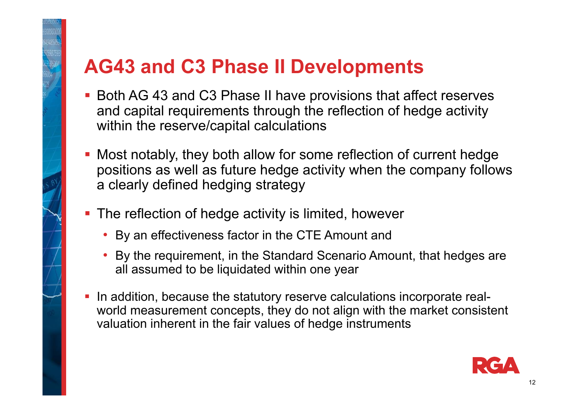# **AG43 and C3 Phase II Developments**

- Both AG 43 and C3 Phase II have provisions that affect reserves and capital requirements through the reflection of hedge activity within the reserve/capital calculations
- Most notably, they both allow for some reflection of current hedge positions as well as future hedge activity when the company follows a clearly defined hedging strategy
- **The reflection of hedge activity is limited, however** 
	- By an effectiveness factor in the CTE Amount and
	- By the requirement, in the Standard Scenario Amount, that hedges are all assumed to be liquidated within one year
- In addition, because the statutory reserve calculations incorporate realworld measurement concepts, they do not align with the market consistent valuation inherent in the fair values of hedge instruments

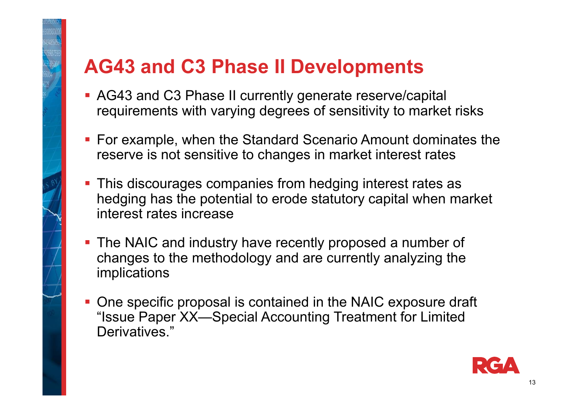#### **AG43 and C3 Phase II Developments**

- AG43 and C3 Phase II currently generate reserve/capital requirements with varying degrees of sensitivity to market risks
- For example, when the Standard Scenario Amount dominates the reserve is not sensitive to changes in market interest rates
- **This discourages companies from hedging interest rates as** hedging has the potential to erode statutory capital when market interest rates increase
- **The NAIC and industry have recently proposed a number of** changes to the methodology and are currently analyzing the implications
- **One specific proposal is contained in the NAIC exposure draft** "Issue Paper XX—Special Accounting Treatment for Limited Derivatives."

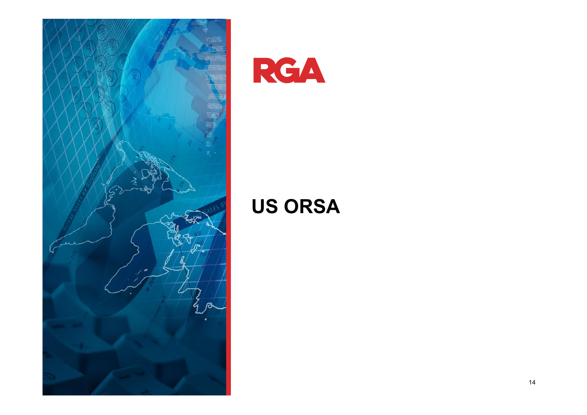

RGA

## **US ORSA**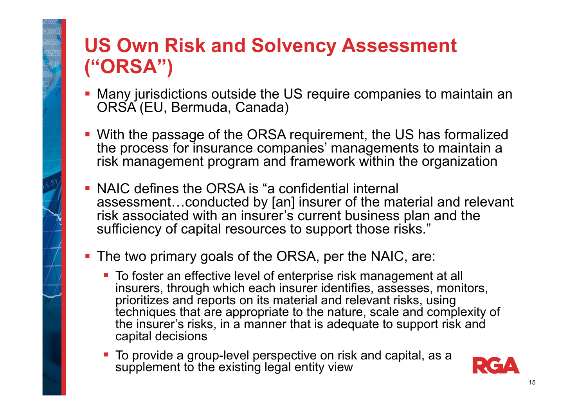# **US Own Risk and Solvency Assessment ("ORSA")**

- Many jurisdictions outside the US require companies to maintain an ORSA (EU, Bermuda, Canada)
- With the passage of the ORSA requirement, the US has formalized the process for insurance companies' managements to maintain a risk management program and framework within the organization
- NAIC defines the ORSA is "a confidential internal assessment…conducted by [an] insurer of the material and relevant risk associated with an insurer's current business plan and the sufficiency of capital resources to support those risks."
- The two primary goals of the ORSA, per the NAIC, are:
	- To foster an effective level of enterprise risk management at all insurers, through which each insurer identifies, assesses, monitors, prioritizes and reports on its material and relevant risks, using techniques that are appropriate to the nature, scale and complexity of the insurer's risks, in a manner that is adequate to support risk and capital decisions
	- To provide a group-level perspective on risk and capital, as a supplement to the existing legal entity view

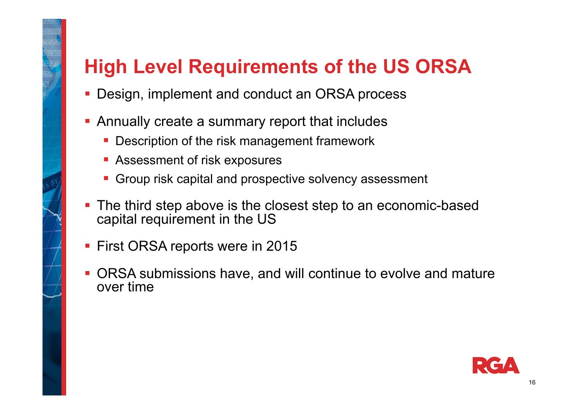# **High Level Requirements of the US ORSA**

- F Design, implement and conduct an ORSA process
- **Annually create a summary report that includes** 
	- **Description of the risk management framework**
	- **BEAS ASSESSMENT OF risk exposures**
	- **Group risk capital and prospective solvency assessment**
- **The third step above is the closest step to an economic-based** capital requirement in the US
- **First ORSA reports were in 2015**
- ORSA submissions have, and will continue to evolve and mature over time

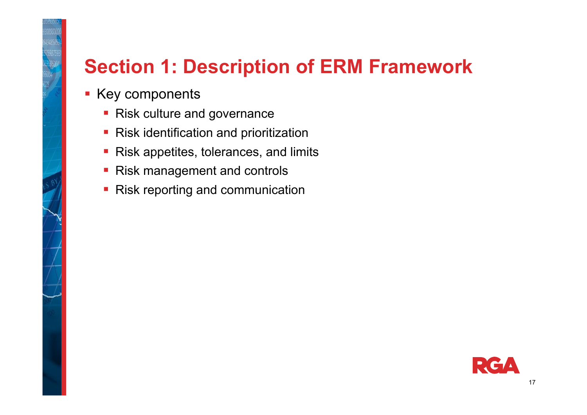## **Section 1: Description of ERM Framework**

- **Key components** 
	- **Risk culture and governance**
	- **Risk identification and prioritization**
	- **Risk appetites, tolerances, and limits**
	- Risk management and controls
	- **Risk reporting and communication**

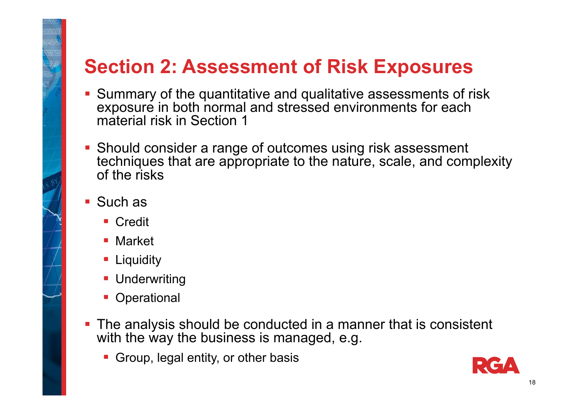## **Section 2: Assessment of Risk Exposures**

- Summary of the quantitative and qualitative assessments of risk exposure in both normal and stressed environments for each material risk in Section 1
- **Should consider a range of outcomes using risk assessment** techniques that are appropriate to the nature, scale, and complexity of the risks
- Such as
	- Credit
	- Market
	- **Liquidity**
	- **Underwriting**
	- **Operational**
- **The analysis should be conducted in a manner that is consistent** with the way the business is managed, e.g.
	- **Group, legal entity, or other basis**

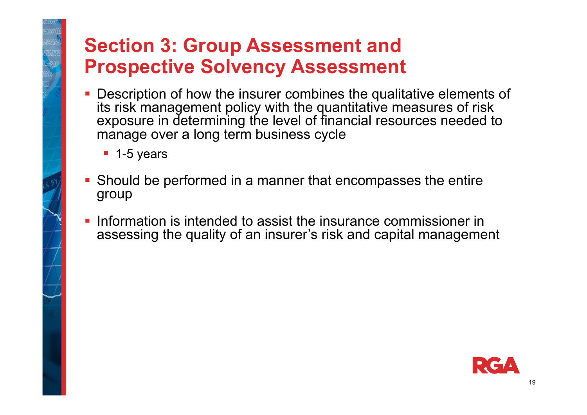# **Section 3: Group Assessment and Prospective Solvency Assessment**

- **Description of how the insurer combines the qualitative elements of** its risk management policy with the quantitative measures of risk exposure in determining the level of financial resources needed to manage over a long term business cycle
	- 1-5 years
- **Should be performed in a manner that encompasses the entire** group
- F Information is intended to assist the insurance commissioner in assessing the quality of an insurer's risk and capital management

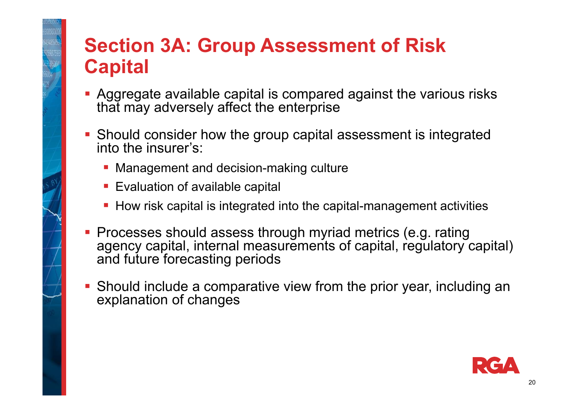# **Section 3A: Group Assessment of Risk Capital**

- Aggregate available capital is compared against the various risks that may adversely affect the enterprise
- Should consider how the group capital assessment is integrated into the insurer's:
	- **Management and decision-making culture**
	- **Evaluation of available capital**
	- **How risk capital is integrated into the capital-management activities**
- **Processes should assess through myriad metrics (e.g. rating** agency capital, internal measurements of capital, regulatory capital) and future forecasting periods
- Should include a comparative view from the prior year, including an explanation of changes

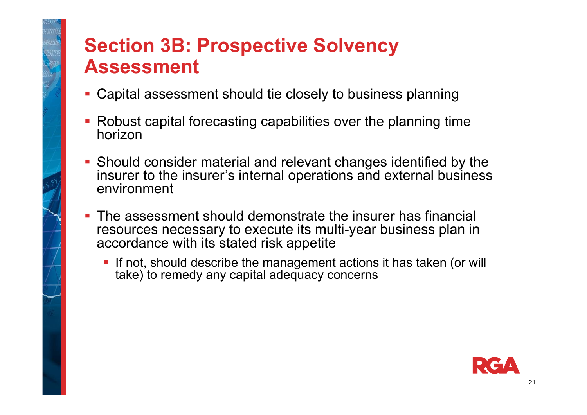# **Section 3B: Prospective Solvency Assessment**

- Capital assessment should tie closely to business planning
- Robust capital forecasting capabilities over the planning time horizon
- Should consider material and relevant changes identified by the insurer to the insurer's internal operations and external business environment
- **The assessment should demonstrate the insurer has financial** resources necessary to execute its multi-year business plan in accordance with its stated risk appetite
	- **If not, should describe the management actions it has taken (or will** take) to remedy any capital adequacy concerns

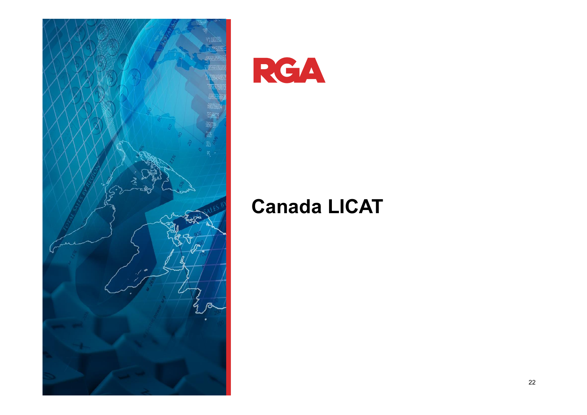

RGA

#### **Canada LICAT**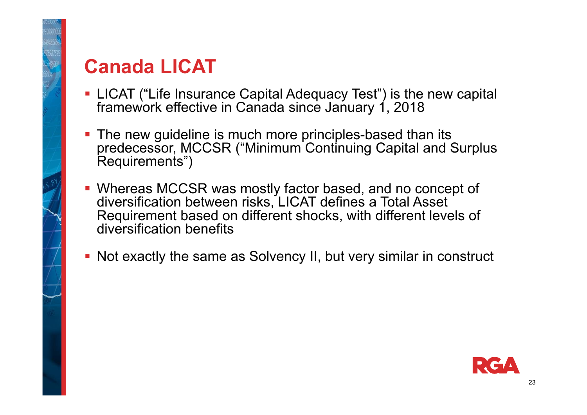# **Canada LICAT**

- LICAT ("Life Insurance Capital Adequacy Test") is the new capital framework effective in Canada since January 1, 2018
- **The new guideline is much more principles-based than its** predecessor, MCCSR ("Minimum Continuing Capital and Surplus Requirements")
- Whereas MCCSR was mostly factor based, and no concept of diversification between risks, LICAT defines a Total Asset Requirement based on different shocks, with different levels of diversification benefits
- Not exactly the same as Solvency II, but very similar in construct

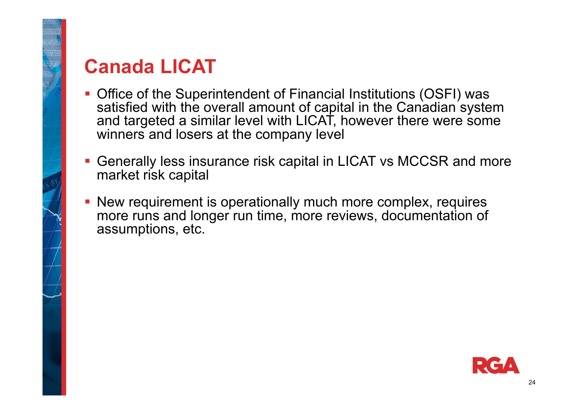

#### **Canada LICAT**

- Office of the Superintendent of Financial Institutions (OSFI) was satisfied with the overall amount of capital in the Canadian system and targeted a similar level with LICAT, however there were some winners and losers at the company level
- Generally less insurance risk capital in LICAT vs MCCSR and more market risk capital
- New requirement is operationally much more complex, requires more runs and longer run time, more reviews, documentation of assumptions, etc.

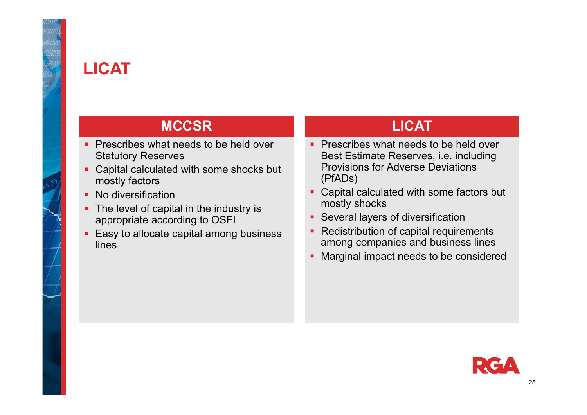

#### **LICAT**

#### **MCCSR**

- **Prescribes what needs to be held over** Statutory Reserves
- Capital calculated with some shocks but mostly factors
- No diversification
- The level of capital in the industry is appropriate according to OSFI
- Easy to allocate capital among business lines

#### **LICAT**

- **Prescribes what needs to be held over** Best Estimate Reserves, i.e. including Provisions for Adverse Deviations (PfADs)
- Capital calculated with some factors but mostly shocks
- $\blacksquare$ Several layers of diversification
- $\blacksquare$  Redistribution of capital requirements among companies and business lines
- $\blacksquare$ Marginal impact needs to be considered

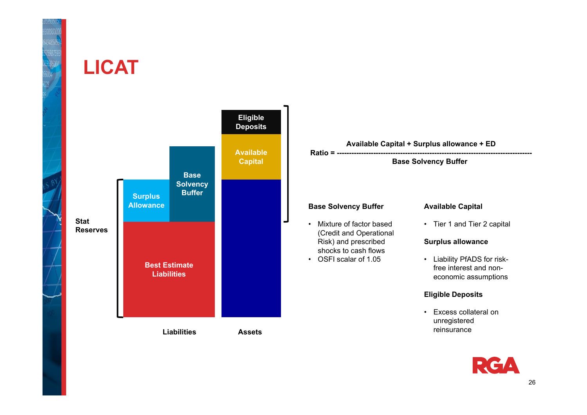

#### **LICAT**



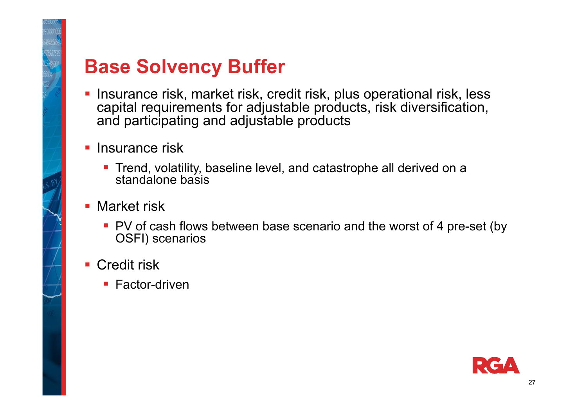

#### **Base Solvency Buffer**

- **Insurance risk, market risk, credit risk, plus operational risk, less** capital requirements for adjustable products, risk diversification, and participating and adjustable products
- **Insurance risk** 
	- **Trend, volatility, baseline level, and catastrophe all derived on a** standalone basis
- **Market risk** 
	- **PV** of cash flows between base scenario and the worst of 4 pre-set (by OSFI) scenarios
- **Credit risk** 
	- **Factor-driven**

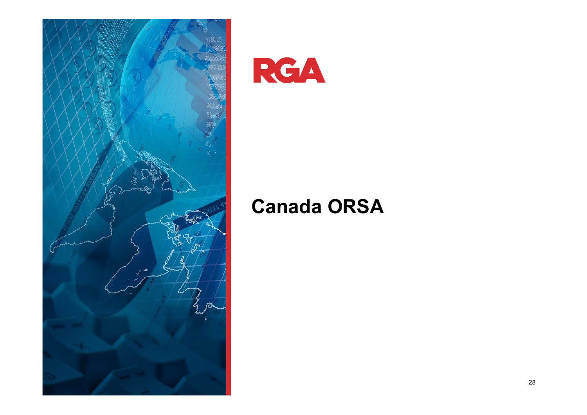

RGA

#### **Canada ORSA**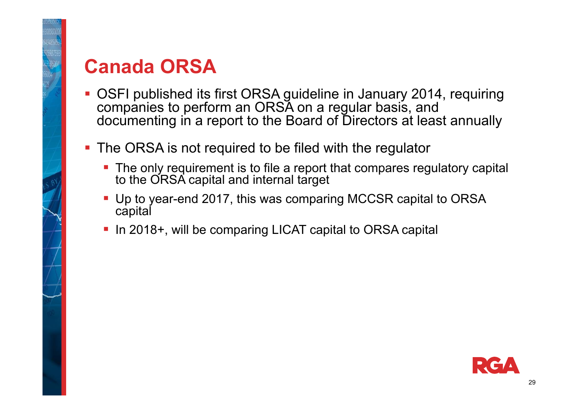

## **Canada ORSA**

- OSFI published its first ORSA guideline in January 2014, requiring companies to perform an ORSA on a regular basis, and documenting in a report to the Board of Directors at least annually
- **The ORSA is not required to be filed with the regulator** 
	- **The only requirement is to file a report that compares regulatory capital** to the ORSA capital and internal target
	- Up to year-end 2017, this was comparing MCCSR capital to ORSA capital
	- In 2018+, will be comparing LICAT capital to ORSA capital

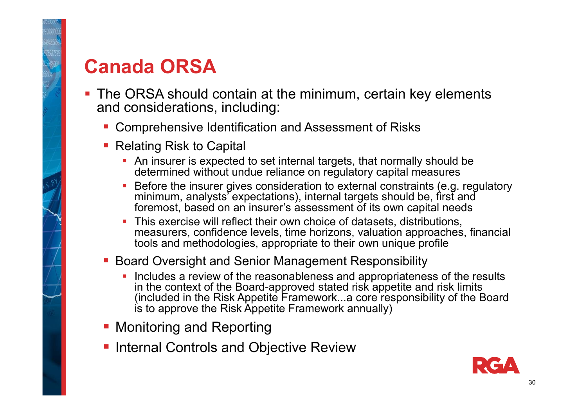## **Canada ORSA**

- **The ORSA should contain at the minimum, certain key elements** and considerations, including:
	- **Comprehensive Identification and Assessment of Risks**
	- Relating Risk to Capital
		- An insurer is expected to set internal targets, that normally should be determined without undue reliance on regulatory capital measures
		- Before the insurer gives consideration to external constraints (e.g. regulatory minimum, analysts' expectations), internal targets should be, first and foremost, based on an insurer's assessment of its own capital needs
		- This exercise will reflect their own choice of datasets, distributions, measurers, confidence levels, time horizons, valuation approaches, financial tools and methodologies, appropriate to their own unique profile
	- **Board Oversight and Senior Management Responsibility** 
		- Includes a review of the reasonableness and appropriateness of the results in the context of the Board-approved stated risk appetite and risk limits (included in the Risk Appetite Framework...a core responsibility of the Board is to approve the Risk Appetite Framework annually)
	- **Monitoring and Reporting**
	- **Internal Controls and Objective Review**